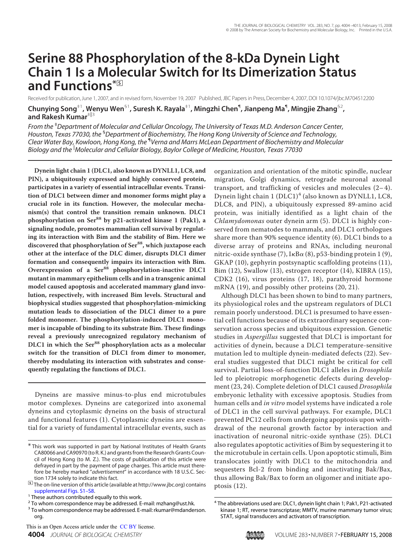# **Serine 88 Phosphorylation of the 8-kDa Dynein Light Chain 1 Is a Molecular Switch for Its Dimerization Status and Functions\***□**<sup>S</sup>**

Received for publication, June 1, 2007, and in revised form, November 19, 2007 Published, JBC Papers in Press, December 4, 2007, DOI 10.1074/jbc.M704512200

**Chunying Song**‡1**, Wenyu Wen**§1**, Suresh K. Rayala**‡1**, Mingzhi Chen**¶ **, Jianpeng Ma**¶ **, Mingjie Zhang**§2 **, and Rakesh Kumar**<sup>#||3</sup>

*From the* ‡*Department of Molecular and Cellular Oncology, The University of Texas M.D. Anderson Cancer Center, Houston, Texas 77030, the* §*Department of Biochemistry, The Hong Kong University of Science and Technology, Clear Water Bay, Kowloon, Hong Kong, the* ¶ *Verna and Marrs McLean Department of Biochemistry and Molecular Biology and the Molecular and Cellular Biology, Baylor College of Medicine, Houston, Texas 77030*

**Dynein light chain 1 (DLC1, also known as DYNLL1, LC8, and PIN), a ubiquitously expressed and highly conserved protein, participates in a variety of essential intracellular events. Transition of DLC1 between dimer and monomer forms might play a crucial role in its function. However, the molecular mechanism(s) that control the transition remain unknown. DLC1 phosphorylation on Ser<sup>88</sup> by p21-activated kinase 1 (Pak1), a signaling nodule, promotes mammalian cell survival by regulating its interaction with Bim and the stability of Bim. Here we discovered that phosphorylation of Ser88, which juxtapose each other at the interface of the DLC dimer, disrupts DLC1 dimer formation and consequently impairs its interaction with Bim. Overexpression of a Ser<sup>88</sup> phosphorylation-inactive DLC1 mutant in mammary epithelium cells and in a transgenic animal model caused apoptosis and accelerated mammary gland involution, respectively, with increased Bim levels. Structural and biophysical studies suggested that phosphorylation-mimicking mutation leads to dissociation of the DLC1 dimer to a pure folded monomer. The phosphorylation-induced DLC1 monomer is incapable of binding to its substrate Bim. These findings reveal a previously unrecognized regulatory mechanism of DLC1 in which the Ser<sup>88</sup> phosphorylation acts as a molecular switch for the transition of DLC1 from dimer to monomer, thereby modulating its interaction with substrates and consequently regulating the functions of DLC1.**

Dyneins are massive minus-to-plus end microtubules motor complexes. Dyneins are categorized into axonemal dyneins and cytoplasmic dyneins on the basis of structural and functional features (1). Cytoplasmic dyneins are essential for a variety of fundamental intracellular events, such as

organization and orientation of the mitotic spindle, nuclear migration, Golgi dynamics, retrograde neuronal axonal transport, and trafficking of vesicles and molecules (2– 4). Dynein light chain 1 (DLC1)<sup>4</sup> (also known as DYNLL1, LC8, DLC8, and PIN), a ubiquitously expressed 89-amino acid protein, was initially identified as a light chain of the Chlamydomonas outer dynein arm (5). DLC1 is highly conserved from nematodes to mammals, and DLC1 orthologues share more than 90% sequence identity (6). DLC1 binds to a diverse array of proteins and RNAs, including neuronal nitric-oxide synthase (7),  $I \kappa B \alpha$  (8), p53-binding protein 1 (9), GKAP (10), gephyrin postsynaptic scaffolding proteins (11), Bim (12), Swallow (13), estrogen receptor (14), KIBRA (15), CDK2 (16), virus proteins (17, 18), parathyroid hormone mRNA (19), and possibly other proteins (20, 21).

Although DLC1 has been shown to bind to many partners, its physiological roles and the upstream regulators of DLC1 remain poorly understood. DLC1 is presumed to have essential cell functions because of its extraordinary sequence conservation across species and ubiquitous expression. Genetic studies in Aspergillus suggested that DLC1 is important for activities of dynein, because a DLC1 temperature-sensitive mutation led to multiple dynein-mediated defects (22). Several studies suggested that DLC1 might be critical for cell survival. Partial loss-of-function DLC1 alleles in *Drosophila* led to pleiotropic morphogenetic defects during development (23, 24). Complete deletion of DLC1 caused Drosophila embryonic lethality with excessive apoptosis. Studies from human cells and in vitro model systems have indicated a role of DLC1 in the cell survival pathways. For example, DLC1 prevented PC12 cells from undergoing apoptosis upon withdrawal of the neuronal growth factor by interaction and inactivation of neuronal nitric-oxide synthase (25). DLC1 also regulates apoptotic activities of Bim by sequestering it to the microtubule in certain cells. Upon apoptotic stimuli, Bim translocates jointly with DLC1 to the mitochondria and sequesters Bcl-2 from binding and inactivating Bak/Bax, thus allowing Bak/Bax to form an oligomer and initiate apoptosis (12).

<sup>\*</sup> This work was supported in part by National Institutes of Health Grants CA80066 and CA90970 (to R. K.) and grants from the Research Grants Council of Hong Kong (to M. Z.). The costs of publication of this article were defrayed in part by the payment of page charges. This article must therefore be hereby marked "*advertisement*" in accordance with 18 U.S.C. Section 1734 solely to indicate this fact.

<sup>□</sup>**S** The on-line version of this article (available at http://www.jbc.org) contains supplemental Figs. S1–S8.

<sup>&</sup>lt;sup>1</sup> These authors contributed equally to this work.

<sup>&</sup>lt;sup>2</sup> To whom correspondence may be addressed. E-mail: mzhang@ust.hk.

<sup>&</sup>lt;sup>3</sup> To whom correspondence may be addressed. E-mail: rkumar@mdanderson. org.

<sup>&</sup>lt;sup>4</sup> The abbreviations used are: DLC1, dynein light chain 1; Pak1, P21-activated kinase 1; RT, reverse transcriptase; MMTV, murine mammary tumor virus; STAT, signal transducers and activators of transcription.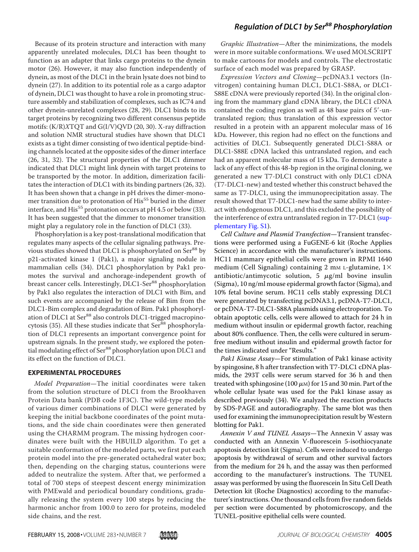Because of its protein structure and interaction with many apparently unrelated molecules, DLC1 has been thought to function as an adapter that links cargo proteins to the dynein motor (26). However, it may also function independently of dynein, as most of the DLC1 in the brain lysate does not bind to dynein (27). In addition to its potential role as a cargo adaptor of dynein, DLC1 was thought to have a role in promoting structure assembly and stabilization of complexes, such as IC74 and other dynein-unrelated complexes (28, 29). DLC1 binds to its target proteins by recognizing two different consensus peptide motifs: (K/R)XTQT and G(I/V)QVD (20, 30). X-ray diffraction and solution NMR structural studies have shown that DLC1 exists as a tight dimer consisting of two identical peptide-binding channels located at the opposite sides of the dimer interface (26, 31, 32). The structural properties of the DLC1 dimmer indicated that DLC1 might link dynein with target proteins to be transported by the motor. In addition, dimerization facilitates the interaction of DLC1 with its binding partners (26, 32). It has been shown that a change in pH drives the dimer-monomer transition due to protonation of His<sup>55</sup> buried in the dimer interface, and His<sup>55</sup> protonation occurs at pH 4.5 or below (33). It has been suggested that the dimmer to monomer transition might play a regulatory role in the function of DLC1 (33).

Phosphorylation is a key post-translational modification that regulates many aspects of the cellular signaling pathways. Previous studies showed that DLC1 is phosphorylated on Ser<sup>88</sup> by p21-activated kinase 1 (Pak1), a major signaling nodule in mammalian cells (34). DLC1 phosphorylation by Pak1 promotes the survival and anchorage-independent growth of breast cancer cells. Interestingly, DLC1-Ser<sup>88</sup> phosphorylation by Pak1 also regulates the interaction of DLC1 with Bim, and such events are accompanied by the release of Bim from the DLC1-Bim complex and degradation of Bim. Pak1 phosphorylation of DLC1 at Ser<sup>88</sup> also controls DLC1-trigged macropinocytosis (35). All these studies indicate that Ser<sup>88</sup> phosphorylation of DLC1 represents an important convergence point for upstream signals. In the present study, we explored the potential modulating effect of Ser<sup>88</sup> phosphorylation upon DLC1 and its effect on the function of DLC1.

#### **EXPERIMENTAL PROCEDURES**

Model Preparation—The initial coordinates were taken from the solution structure of DLC1 from the Brookhaven Protein Data bank (PDB code 1F3C). The wild-type models of various dimer combinations of DLC1 were generated by keeping the initial backbone coordinates of the point mutations, and the side chain coordinates were then generated using the CHARMM program. The missing hydrogen coordinates were built with the HBUILD algorithm. To get a suitable conformation of the modeled parts, we first put each protein model into the pre-generated octahedral water box; then, depending on the charging status, counterions were added to neutralize the system. After that, we performed a total of 700 steps of steepest descent energy minimization with PMEwald and periodical boundary conditions, gradually releasing the system every 100 steps by reducing the harmonic anchor from 100.0 to zero for proteins, modeled side chains, and the rest.

Graphic Illustration—After the minimizations, the models were in more suitable conformations. We used MOLSCRIPT to make cartoons for models and controls. The electrostatic surface of each model was prepared by GRASP.

Expression Vectors and Cloning—pcDNA3.1 vectors (Invitrogen) containing human DLC1, DLC1-S88A, or DLC1- S88E cDNA were previously reported (34). In the original cloning from the mammary gland cDNA library, the DLC1 cDNA contained the coding region as well as 48 base pairs of 5'-untranslated region; thus translation of this expression vector resulted in a protein with an apparent molecular mass of 16 kDa. However, this region had no effect on the functions and activities of DLC1. Subsequently generated DLC1-S88A or DLC1-S88E cDNA lacked this untranslated region, and each had an apparent molecular mass of 15 kDa. To demonstrate a lack of any effect of this 48-bp region in the original cloning, we generated a new T7-DLC1 construct with only DLC1 cDNA (T7-DLC1-new) and tested whether this construct behaved the same as T7-DLC1, using the immunoprecipitation assay. The result showed that T7-DLC1-new had the same ability to interact with endogenous DLC1, and this excluded the possibility of the interference of extra untranslated region in T7-DLC1 (supplementary Fig. S1).

Cell Culture and Plasmid Transfection—Transient transfections were performed using a FuGENE-6 kit (Roche Applies Science) in accordance with the manufacturer's instructions. HC11 mammary epithelial cells were grown in RPMI 1640 medium (Cell Signaling) containing 2 mM L-glutamine,  $1\times$ antibiotic/antimycotic solution, 5  $\mu$ g/ml bovine insulin (Sigma), 10 ng/ml mouse epidermal growth factor (Sigma), and 10% fetal bovine serum. HC11 cells stably expressing DLC1 were generated by transfecting pcDNA3.1, pcDNA-T7-DLC1, or pcDNA-T7-DLC1-S88A plasmids using electroporation. To obtain apoptotic cells, cells were allowed to attach for 24 h in medium without insulin or epidermal growth factor, reaching about 80% confluence. Then, the cells were cultured in serumfree medium without insulin and epidermal growth factor for the times indicated under "Results."

Pak1 Kinase Assay—For stimulation of Pak1 kinase activity by spingosine, 8 h after transfection with T7-DLC1 cDNA plasmids, the 293T cells were serum starved for 36 h and then treated with sphingosine (100  $\mu$ M) for 15 and 30 min. Part of the whole cellular lysate was used for the Pak1 kinase assay as described previously (34). We analyzed the reaction products by SDS-PAGE and autoradiography. The same blot was then used for examining the immunoprecipitation result byWestern blotting for Pak1.

Annexin V and TUNEL Assays—The Annexin V assay was conducted with an Annexin V-fluorescein 5-isothiocyanate apoptosis detection kit (Sigma). Cells were induced to undergo apoptosis by withdrawal of serum and other survival factors from the medium for 24 h, and the assay was then performed according to the manufacturer's instructions. The TUNEL assay was performed by using the fluorescein In Situ Cell Death Detection kit (Roche Diagnostics) according to the manufacturer's instructions. One thousand cells from five random fields per section were documented by photomicroscopy, and the TUNEL-positive epithelial cells were counted.

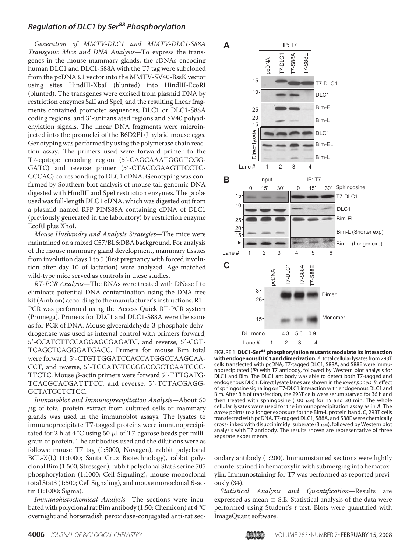Generation of MMTV-DLC1 and MMTV-DLC1-S88A Transgenic Mice and DNA Analysis—To express the transgenes in the mouse mammary glands, the cDNAs encoding human DLC1 and DLC1-S88A with the T7 tag were subcloned from the pcDNA3.1 vector into the MMTV-SV40-BssK vector using sites HindIII-XbaI (blunted) into HindIII-EcoRI (blunted). The transgenes were excised from plasmid DNA by restriction enzymes SalI and SpeI, and the resulting linear fragments contained promoter sequences, DLC1 or DLC1-S88A coding regions, and 3'-untranslated regions and SV40 polyadenylation signals. The linear DNA fragments were microinjected into the pronuclei of the B6D2F1/J hybrid mouse eggs. Genotyping was performed by using the polymerase chain reaction assay. The primers used were forward primer to the T7-epitope encoding region (5-CAGCAAATGGGTCGG-GATC) and reverse primer (5'-CTACCGAAGTTCCTC-CCCAC) corresponding to DLC1 cDNA. Genotyping was confirmed by Southern blot analysis of mouse tail genomic DNA digested with HindIII and SpeI restriction enzymes. The probe used was full-length DLC1 cDNA, which was digested out from a plasmid named RFP-PINS88A containing cDNA of DLC1 (previously generated in the laboratory) by restriction enzyme EcoRI plus XhoI.

Mouse Husbandry and Analysis Strategies—The mice were maintained on a mixed C57/BL6:DBA background. For analysis of the mouse mammary gland development, mammary tissues from involution days 1 to 5 (first pregnancy with forced involution after day 10 of lactation) were analyzed. Age-matched wild-type mice served as controls in these studies.

RT-PCR Analysis—The RNAs were treated with DNase I to eliminate potential DNA contamination using the DNA-free kit (Ambion) according to the manufacturer's instructions. RT-PCR was performed using the Access Quick RT-PCR system (Promega). Primers for DLC1 and DLC1-S88A were the same as for PCR of DNA. Mouse glyceraldehyde-3-phosphate dehydrogenase was used as internal control with primers forward, 5-CCATCTTCCAGGAGCGAGATC, and reverse, 5-CGT-TCAGCTCAGGGATGACC. Primers for mouse Bim total were forward, 5'-CTGTTGGATCCACCATGGCCAAGCAA-CCT, and reverse, 5'-TGCATGTGCGGCCGCTCAATGCC-TTCTC. Mouse  $\beta$ -actin primers were forward 5'-TTTGATG-TCACGCACGATTTCC, and reverse, 5'-TCTACGAGG-GCTATGCTCTCC.

Immunoblot and Immunoprecipitation Analysis—About 50  $\mu$ g of total protein extract from cultured cells or mammary glands was used in the immunoblot assays. The lysates to immunoprecipitate T7-tagged proteins were immunoprecipitated for 2 h at  $4^{\circ}$ C using 50  $\mu$ l of T7-agarose beads per milligram of protein. The antibodies used and the dilutions were as follows: mouse T7 tag (1:5000, Novagen), rabbit polyclonal BCL-X(L) (1:1000; Santa Cruz Biotechnology), rabbit polyclonal Bim (1:500; Stressgen), rabbit polyclonal Stat3 serine 705 phosphorylation (1:1000; Cell Signaling), mouse monoclonal total Stat3 (1:500; Cell Signaling), and mouse monoclonal  $\beta$ -actin (1:1000; Sigma).

Immunohistochemical Analysis—The sections were incubated with polyclonal rat Bim antibody (1:50; Chemicon) at 4 °C overnight and horseradish peroxidase-conjugated anti-rat sec-



ImageQuant software.pcDNA FIGURE 1. **DLC1-Ser<sup>88</sup> phosphorylation mutants modulate its interaction with endogenous DLC1 and dimerization.***A*, total cellular lysates from 293T cells transfected with pcDNA, T7-tagged DLC1, S88A, and S88E were immunoprecipitated (*IP*) with T7 antibody, followed by Western blot analysis for DLC1 and Bim. The DLC1 antibody was able to detect both T7-tagged and endogenous DLC1. Direct lysate lanes are shown in the *lower panels*. *B*, effect of sphingosine signaling on T7-DLC1 interaction with endogenous DLC1 and Bim. After 8 h of transfection, the 293T cells were serum starved for 36 h and then treated with sphingosine (100  $\mu$ M) for 15 and 30 min. The whole cellular lysates were used for the immunoprecipitation assay as in *A*. The *arrow* points to a longer exposure for the Bim-L protein band. *C*, 293T cells transfected with pcDNA, T7-tagged DLC1, S88A, and S88E were chemically cross-linked with disuccinimidyl suberate (3  $\mu$ M), followed by Western blot analysis with T7 antibody. The results shown are representative of three separate experiments.

ondary antibody (1:200). Immunostained sections were lightly counterstained in hematoxylin with submerging into hematoxylin. Immunostaining for T7 was performed as reported previously (34).

Statistical Analysis and Quantification—Results are expressed as mean  $\pm$  S.E. Statistical analysis of the data were performed using Student's  $t$  test. Blots were quantified with

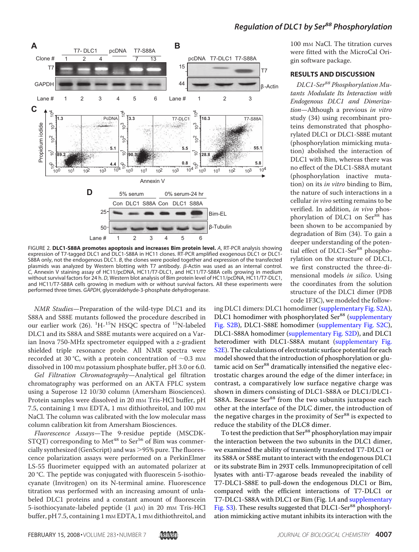

FIGURE 2. **DLC1-S88A promotes apoptosis and increases Bim protein level.** *A*, RT-PCR analysis showing expression of T7-tagged DLC1 and DLC1-S88A in HC11 clones. RT-PCR amplified exogenous DLC1 or DLC1- S88A only, not the endogenous DLC1. *B*, the clones were pooled together and expression of the transfected plasmids was analyzed by Western blotting with T7 antibody.  $\beta$ -Actin was used as an internal control. *C*, Annexin V staining assay of HC11/pcDNA, HC11/T7-DLC1, and HC11/T7-S88A cells growing in medium without survival factors for 24 h. *D*, Western blot analysis of Bim protein level of HC11/pcDNA, HC11/T7-DLC1, and HC11/T7-S88A cells growing in medium with or without survival factors. All these experiments were performed three times. *GAPDH*, glyceraldehyde-3-phosphate dehydrogenase.

NMR Studies—Preparation of the wild-type DLC1 and its S88A and S88E mutants followed the procedure described in our earlier work  $(26)$ .  $^{1}H^{-15}N$  HSQC spectra of  $^{15}N$ -labeled DLC1 and its S88A and S88E mutants were acquired on a Varian Inova 750-MHz spectrometer equipped with a z-gradient shielded triple resonance probe. All NMR spectra were recorded at 30 °C, with a protein concentration of  $\sim$ 0.3 mm dissolved in 100 mM potassium phosphate buffer, pH 3.0 or 6.0.

Gel Filtration Chromatography—Analytical gel filtration chromatography was performed on an AKTA FPLC system using a Superose 12 10/30 column (Amersham Biosciences). Protein samples were dissolved in 20 mm Tris-HCl buffer, pH 7.5, containing 1 mm EDTA, 1 mm dithiothreitol, and 100 mm NaCl. The column was calibrated with the low molecular mass column calibration kit from Amersham Biosciences.

Fluorescence Assays—The 9-residue peptide (MSCDK-STQT) corresponding to Met<sup>48</sup> to Ser<sup>56</sup> of Bim was commercially synthesized (GenScript) and was  $>95%$  pure. The fluorescence polarization assays were performed on a PerkinElmer LS-55 fluorimeter equipped with an automated polarizer at 20 °C. The peptide was conjugated with fluorescein 5-isothiocyanate (Invitrogen) on its N-terminal amine. Fluorescence titration was performed with an increasing amount of unlabeled DLC1 proteins and a constant amount of fluorescein 5-isothiocyanate-labeled peptide  $(1 \mu)$  in 20 mm Tris-HCl buffer, pH 7.5, containing 1 mm EDTA, 1 mm dithiothreitol, and

100 mM NaCl. The titration curves were fitted with the MicroCal Origin software package.

### **RESULTS AND DISCUSSION**

DLC1-Ser<sup>88</sup> Phosphorylation Mutants Modulate Its Interaction with Endogenous DLC1 and Dimerization-Although a previous in vitro study (34) using recombinant proteins demonstrated that phosphorylated DLC1 or DLC1-S88E mutant (phosphorylation mimicking mutation) abolished the interaction of DLC1 with Bim, whereas there was no effect of the DLC1-S88A mutant (phosphorylation inactive mutation) on its in vitro binding to Bim, the nature of such interactions in a cellular in vivo setting remains to be verified. In addition, in vivo phosphorylation of DLC1 on Ser<sup>88</sup> has been shown to be accompanied by degradation of Bim (34). To gain a deeper understanding of the potential effect of DLC1-Ser<sup>88</sup> phosphorylation on the structure of DLC1, we first constructed the three-dimensional models in silico. Using the coordinates from the solution structure of the DLC1 dimer (PDB code 1F3C), we modeled the follow-

ing DLC1 dimers: DLC1 homodimer (supplementary Fig. S2A), DLC1 homodimer with phosphorylated Ser<sup>88</sup> (supplementary Fig. S2B), DLC1-S88E homodimer (supplementary Fig. S2C), DLC1-S88A homodimer (supplementary Fig. S2D), and DLC1 heterodimer with DLC1-S88A mutant (supplementary Fig. S2E). The calculations of electrostatic surface potential for each model showed that the introduction of phosphorylation or glutamic acid on Ser<sup>88</sup> dramatically intensified the negative electrostatic charges around the edge of the dimer interface; in contrast, a comparatively low surface negative charge was shown in dimers consisting of DLC1-S88A or DLC1/DLC1- S88A. Because Ser<sup>88</sup> from the two subunits juxtapose each other at the interface of the DLC dimer, the introduction of the negative charges in the proximity of Ser<sup>88</sup> is expected to reduce the stability of the DLC8 dimer.

To test the prediction that Ser<sup>88</sup> phosphorylation may impair the interaction between the two subunits in the DLC1 dimer, we examined the ability of transiently transfected T7-DLC1 or its S88A or S88E mutant to interact with the endogenous DLC1 or its substrate Bim in 293T cells. Immunoprecipitation of cell lysates with anti-T7-agarose beads revealed the inability of T7-DLC1-S88E to pull-down the endogenous DLC1 or Bim, compared with the efficient interactions of T7-DLC1 or T7-DLC1-S88A with DLC1 or Bim (Fig. 1A and supplementary Fig. S3). These results suggested that DLC1-Ser<sup>88</sup> phosphorylation mimicking active mutant inhibits its interaction with the

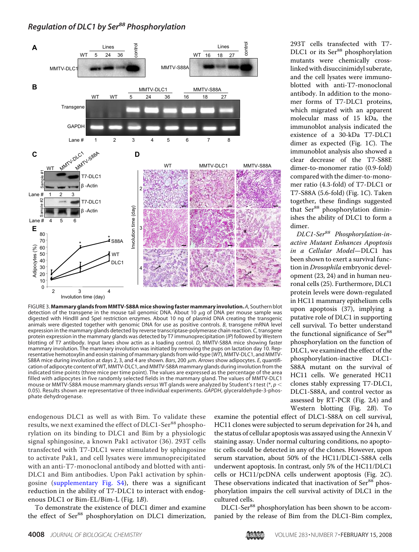

FIGURE 3. **Mammary glands from MMTV-S88A mice showing faster mammary involution.** *A*, Southern blot detection of the transgene in the mouse tail genomic DNA. About 10  $\mu$ g of DNA per mouse sample was digested with HindIII and SpeI restriction enzymes. About 10 ng of plasmid DNA creating the transgenic animals were digested together with genomic DNA for use as positive controls. *B*, transgene mRNA level expression in the mammary glands detected by reverse transcriptase-polymerase chain reaction. *C*, transgene protein expression in the mammary glands was detected by T7 immunoprecipitation (*IP*) followed by Western blotting of T7 antibody. Input lanes show actin as a loading control. *D*, MMTV-S88A mice showing faster mammary involution. The mammary involution was initiated by removing the pups on lactation day 10. Representative hemotoxylin and eosin staining of mammary glands from wild-type (*WT*), MMTV-DLC1, and MMTV-S88A mice during involution at days 2, 3, and 4 are shown. *Bars*, 200  $\mu$ m. *Arrows* show adipocytes. *E*, quantification of adipocyte content of WT, MMTV-DLC1, and MMTV-S88A mammary glands during involution from the indicated time points (three mice per time point). The values are expressed as the percentage of the area filled with adipocytes in five randomly selected fields in the mammary gland. The values of MMTV-DLC1 mouse or MMTV-S88A mouse mammary glands *versus* WT glands were analyzed by Student's *t* test (\*, *p* 0.05). Results shown are representative of three individual experiments. *GAPDH*, glyceraldehyde-3-phosphate dehydrogenase.

endogenous DLC1 as well as with Bim. To validate these results, we next examined the effect of DLC1-Ser<sup>88</sup> phosphorylation on its binding to DLC1 and Bim by a physiologic signal sphingosine, a known Pak1 activator (36). 293T cells transfected with T7-DLC1 were stimulated by sphingosine to activate Pak1, and cell lysates were immunoprecipitated with an anti-T7-monoclonal antibody and blotted with anti-DLC1 and Bim antibodies. Upon Pak1 activation by sphingosine (supplementary Fig. S4), there was a significant reduction in the ability of T7-DLC1 to interact with endogenous DLC1 or Bim-EL/Bim-L (Fig. 1B).

To demonstrate the existence of DLC1 dimer and examine the effect of Ser<sup>88</sup> phosphorylation on DLC1 dimerization,

293T cells transfected with T7- DLC1 or its Ser<sup>88</sup> phosphorylation mutants were chemically crosslinked with disuccinimidyl suberate, and the cell lysates were immunoblotted with anti-T7-monoclonal antibody. In addition to the monomer forms of T7-DLC1 proteins, which migrated with an apparent molecular mass of 15 kDa, the immunoblot analysis indicated the existence of a 30-kDa T7-DLC1 dimer as expected (Fig. 1C). The immunoblot analysis also showed a clear decrease of the T7-S88E dimer-to-monomer ratio (0.9-fold) compared with the dimer-to-monomer ratio (4.3-fold) of T7-DLC1 or T7-S88A (5.6-fold) (Fig. 1C). Taken together, these findings suggested that Ser<sup>88</sup> phosphorylation diminishes the ability of DLC1 to form a dimer.

DLC1-Ser<sup>88</sup> Phosphorylation-inactive Mutant Enhances Apoptosis in a Cellular Model—DLC1 has been shown to exert a survival function in Drosophila embryonic development (23, 24) and in human neuronal cells (25). Furthermore, DLC1 protein levels were down-regulated in HC11 mammary epithelium cells upon apoptosis (37), implying a putative role of DLC1 in supporting cell survival. To better understand the functional significance of Ser<sup>88</sup> phosphorylation on the function of DLC1, we examined the effect of the phosphorylation-inactive DLC1- S88A mutant on the survival of HC11 cells. We generated HC11 clones stably expressing T7-DLC1, DLC1-S88A, and control vector as assessed by RT-PCR (Fig. 2A) and Western blotting (Fig. 2B). To

examine the potential effect of DLC1-S88A on cell survival, HC11 clones were subjected to serum deprivation for 24 h, and the status of cellular apoptosis was assayed using the Annexin V staining assay. Under normal culturing conditions, no apoptotic cells could be detected in any of the clones. However, upon serum starvation, about 50% of the HC11/DLC1-S88A cells underwent apoptosis. In contrast, only 5% of the HC11/DLC1 cells or HC11/pcDNA cells underwent apoptosis (Fig. 2C). These observations indicated that inactivation of Ser<sup>88</sup> phosphorylation impairs the cell survival activity of DLC1 in the cultured cells.

DLC1-Ser<sup>88</sup> phosphorylation has been shown to be accompanied by the release of Bim from the DLC1-Bim complex,

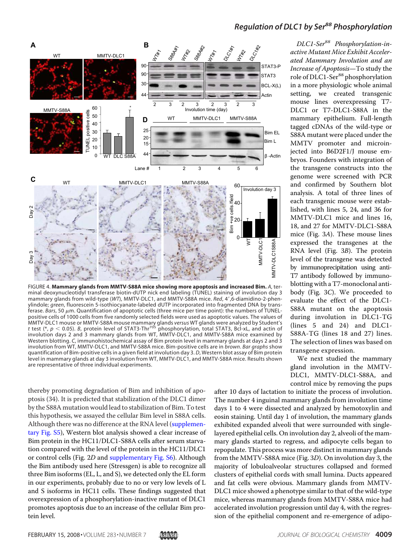

FIGURE 4. **Mammary glands from MMTV-S88A mice showing more apoptosis and increased Bim.** *A*, terminal deoxynucleotidyl transferase biotin-dUTP nick end labeling (TUNEL) staining of involution day 3 mammary glands from wild-type (WT), MMTV-DLC1, and MMTV-S88A mice. *Red*, 4',6-diamidino-2-phenylindole; *green*, fluorescein 5-isothiocyanate-labeled dUTP incorporated into fragmented DNA by transferase. Bars, 50  $\mu$ m. Quantification of apoptotic cells (three mice per time point): the numbers of TUNELpositive cells of 1000 cells from five randomly selected fields were used as apoptotic values. The values of MMTV-DLC1 mouse or MMTV-S88A mouse mammary glands *versus* WT glands were analyzed by Student's<br>*t* test (\*, *p <* 0.05). *B*, protein level of STAT3-Thr<sup>705</sup> phosphorylation, total STAT3, Bcl-xL, and actin of involution days 2 and 3 mammary glands from WT, MMTV-DLC1, and MMTV-S88A mice examined by Western blotting. *C*, immunohistochemical assay of Bim protein level in mammary glands at days 2 and 3 involution from WT, MMTV-DLC1, and MMTV-S88A mice. Bim-positive cells are in *brown*. *Bar graphs* show quantification of Bim-positive cells in a given field at involution day 3. *D*, Western blot assay of Bim protein level in mammary glands at day 3 involution from WT, MMTV-DLC1, and MMTV-S88A mice. Results shown

DLC1-Ser<sup>88</sup> Phosphorylation-in-

*Regulation of DLC1 by Ser<sup>88</sup> Phosphorylation*

active Mutant Mice Exhibit Accelerated Mammary Involution and an Increase of Apoptosis—To study the role of DLC1-Ser<sup>88</sup> phosphorylation in a more physiologic whole animal setting, we created transgenic mouse lines overexpressing T7- DLC1 or T7-DLC1-S88A in the mammary epithelium. Full-length tagged cDNAs of the wild-type or S88A mutant were placed under the MMTV promoter and microinjected into B6D2F1/J mouse embryos. Founders with integration of the transgene constructs into the genome were screened with PCR and confirmed by Southern blot analysis. A total of three lines of each transgenic mouse were established, with lines 5, 24, and 36 for MMTV-DLC1 mice and lines 16, 18, and 27 for MMTV-DLC1-S88A mice (Fig. 3A). These mouse lines expressed the transgenes at the RNA level (Fig. 3B). The protein level of the transgene was detected by immunoprecipitation using anti-T7 antibody followed by immunoblotting with a T7-monoclonal antibody (Fig. 3C). We proceeded to evaluate the effect of the DLC1- S88A mutant on the apoptosis during involution in DLC1-TG (lines 5 and 24) and DLC1- S88A-TG (lines 18 and 27) lines. The selection of lines was based on transgene expression.

We next studied the mammary gland involution in the MMTV-DLC1, MMTV-DLC1-S88A, and control mice by removing the pups

thereby promoting degradation of Bim and inhibition of apoptosis (34). It is predicted that stabilization of the DLC1 dimer by the S88A mutation would lead to stabilization of Bim. To test this hypothesis, we assayed the cellular Bim level in S88A cells. Although there was no difference at the RNA level (supplementary Fig. S5), Western blot analysis showed a clear increase of Bim protein in the HC11/DLC1-S88A cells after serum starvation compared with the level of the protein in the HC11/DLC1 or control cells (Fig. 2D and supplementary Fig. S6). Although the Bim antibody used here (Stressgen) is able to recognize all three Bim isoforms (EL, L, and S), we detected only the EL form in our experiments, probably due to no or very low levels of L and S isoforms in HC11 cells. These findings suggested that overexpression of a phosphorylation-inactive mutant of DLC1 promotes apoptosis due to an increase of the cellular Bim protein level.

after 10 days of lactation to initiate the process of involution. The number 4 inguinal mammary glands from involution time days 1 to 4 were dissected and analyzed by hemotoxylin and eosin staining. Until day 1 of involution, the mammary glands exhibited expanded alveoli that were surrounded with singlelayered epithelial cells. On involution day 2, alveoli of the mammary glands started to regress, and adipocyte cells began to repopulate. This process was more distinct in mammary glands from the MMTV-S88A mice (Fig. 3D). On involution day 3, the majority of lobuloalveolar structures collapsed and formed clusters of epithelial cords with small lumina. Ducts appeared and fat cells were obvious. Mammary glands from MMTV-DLC1 mice showed a phenotype similar to that of the wild-type mice, whereas mammary glands from MMTV-S88A mice had accelerated involution progression until day 4, with the regression of the epithelial component and re-emergence of adipo-

are representative of three individual experiments.

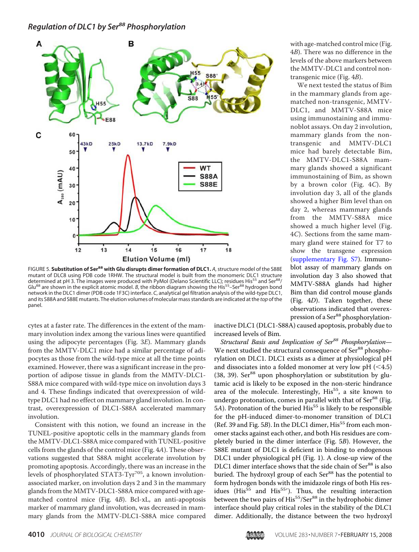

FIGURE 5. **Substitution of Ser<sup>88</sup> with Glu disrupts dimer formation of DLC1.** *A*, structure model of the S88E mutant of DLC8 using PDB code 1RHW. The structural model is built from the monomeric DLC1 structure determined at pH 3. The images were produced with PyMol (Delano Scientific LLC); residues His<sup>55</sup> and Ser<sup>88</sup>/ Glu<sup>88</sup> are shown in the explicit atomic model. *B*, the ribbon diagram showing the His<sup>55</sup>–Ser<sup>88</sup> hydrogen bond network in the DLC1 dimer (PDB code 1F3C) interface. *C*, analytical gel filtration analysis of the wild-type DLC1, and its S88A and S88E mutants. The elution volumes of molecular mass standards are indicated at the *top* of the panel.

cytes at a faster rate. The differences in the extent of the mammary involution index among the various lines were quantified using the adipocyte percentages (Fig. 3E). Mammary glands from the MMTV-DLC1 mice had a similar percentage of adipocytes as those from the wild-type mice at all the time points examined. However, there was a significant increase in the proportion of adipose tissue in glands from the MMTV-DLC1- S88A mice compared with wild-type mice on involution days 3 and 4. These findings indicated that overexpression of wildtype DLC1 had no effect on mammary gland involution. In contrast, overexpression of DLC1-S88A accelerated mammary involution.

Consistent with this notion, we found an increase in the TUNEL-positive apoptotic cells in the mammary glands from the MMTV-DLC1-S88A mice compared with TUNEL-positive cells from the glands of the control mice (Fig. 4A). These observations suggested that S88A might accelerate involution by promoting apoptosis. Accordingly, there was an increase in the levels of phosphorylated STAT3-Tyr<sup>705</sup>, a known involutionassociated marker, on involution days 2 and 3 in the mammary glands from the MMTV-DLC1-S88A mice compared with agematched control mice (Fig. 4B). Bcl-xL, an anti-apoptosis marker of mammary gland involution, was decreased in mammary glands from the MMTV-DLC1-S88A mice compared

inactive DLC1 (DLC1-S88A) caused apoptosis, probably due to increased levels of Bim. Structural Basis and Implication of Ser<sup>88</sup> Phosphorylation-

We next studied the structural consequence of Ser<sup>88</sup> phosphorylation on DLC1. DLC1 exists as a dimer at physiological pH and dissociates into a folded monomer at very low pH  $( $4.5$ )$ (38, 39). Ser $^{88}$  upon phosphorylation or substitution by glutamic acid is likely to be exposed in the non-steric hindrance area of the molecule. Interestingly, His<sup>55</sup>, a site known to undergo protonation, comes in parallel with that of  $Ser^{88}$  (Fig. 5A). Protonation of the buried  $His<sup>55</sup>$  is likely to be responsible for the pH-induced dimer-to-monomer transition of DLC1 (Ref. 39 and Fig.  $5B$ ). In the DLC1 dimer, His<sup>55</sup> from each monomer stacks against each other, and both His residues are completely buried in the dimer interface (Fig. 5B). However, the S88E mutant of DLC1 is deficient in binding to endogenous DLC1 under physiological pH (Fig. 1). A close-up view of the DLC1 dimer interface shows that the side chain of Ser<sup>88</sup> is also buried. The hydroxyl group of each Ser<sup>88</sup> has the potential to form hydrogen bonds with the imidazole rings of both His residues (His<sup>55</sup> and His<sup>55</sup>'). Thus, the resulting interaction between the two pairs of His<sup>55</sup>/Ser<sup>88</sup> in the hydrophobic dimer interface should play critical roles in the stability of the DLC1 dimer. Additionally, the distance between the two hydroxyl

with age-matched control mice (Fig. 4B). There was no difference in the levels of the above markers between the MMTV-DLC1 and control nontransgenic mice (Fig. 4B).

We next tested the status of Bim in the mammary glands from agematched non-transgenic, MMTV-DLC1, and MMTV-S88A mice using immunostaining and immunoblot assays. On day 2 involution, mammary glands from the nontransgenic and MMTV-DLC1 mice had barely detectable Bim, the MMTV-DLC1-S88A mammary glands showed a significant immunostaining of Bim, as shown by a brown color (Fig. 4C). By involution day 3, all of the glands showed a higher Bim level than on day 2, whereas mammary glands from the MMTV-S88A mice showed a much higher level (Fig. 4C). Sections from the same mammary gland were stained for T7 to show the transgene expression (supplementary Fig. S7). Immunoblot assay of mammary glands on involution day 3 also showed that MMTV-S88A glands had higher Bim than did control mouse glands (Fig. 4D). Taken together, these observations indicated that overexpression of a Ser<sup>88</sup> phosphorylation-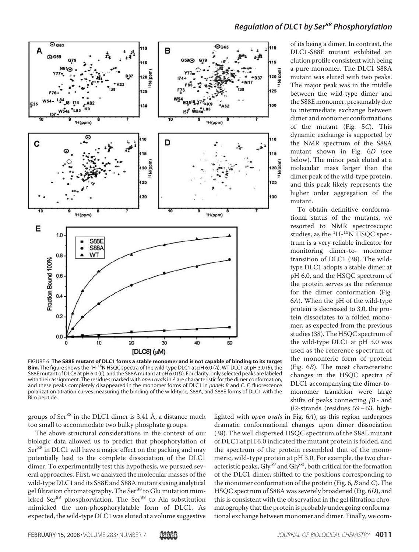

*Regulation of DLC1 by Ser<sup>88</sup> Phosphorylation*

of its being a dimer. In contrast, the DLC1-S88E mutant exhibited an elution profile consistent with being a pure monomer. The DLC1 S88A mutant was eluted with two peaks. The major peak was in the middle between the wild-type dimer and the S88E monomer, presumably due to intermediate exchange between dimer and monomer conformations of the mutant (Fig. 5C). This dynamic exchange is supported by the NMR spectrum of the S88A mutant shown in Fig. 6D (see below). The minor peak eluted at a molecular mass larger than the dimer peak of the wild-type protein, and this peak likely represents the higher order aggregation of the mutant.

To obtain definitive conformational status of the mutants, we resorted to NMR spectroscopic studies, as the  ${}^{1}$ H- ${}^{15}$ N HSQC spectrum is a very reliable indicator for monitoring dimer-to- monomer transition of DLC1 (38). The wildtype DLC1 adopts a stable dimer at pH 6.0, and the HSQC spectrum of the protein serves as the reference for the dimer conformation (Fig. 6A). When the pH of the wild-type protein is decreased to 3.0, the protein dissociates to a folded monomer, as expected from the previous studies (38). The HSQC spectrum of the wild-type DLC1 at pH 3.0 was used as the reference spectrum of the monomeric form of protein (Fig. 6B). The most characteristic changes in the HSQC spectra of DLC1 accompanying the dimer-tomonomer transition were large shifts of peaks connecting  $\beta$ 1- and  $\beta$ 2-strands (residues 59–63, high-

**Bim.** The figure shows the <sup>1</sup>H-15N HSQC spectra of the wild-type DLC1 at pH 6.0 (*A*), WT DLC1 at pH 3.0 (*B*), the S88E mutant of DLC8 at pH 6.0 (*C*), and the S88A mutant at pH 6.0 (*D*). For clarity, only selected peaks are labeled with their assignment. The residues marked with *open ovals*in *A* are characteristic for the dimer conformation, and these peaks completely disappeared in the monomer forms of DLC1 in *panels B* and *C*. *E*, fluorescence polarization titration curves measuring the binding of the wild-type, S88A, and S88E forms of DLC1 with the Bim peptide.

FIGURE 6. **The S88E mutant of DLC1 forms a stable monomer and is not capable of binding to its target**

groups of  $Ser^{88}$  in the DLC1 dimer is 3.41 Å, a distance much too small to accommodate two bulky phosphate groups.

The above structural considerations in the context of our biologic data allowed us to predict that phosphorylation of Ser<sup>88</sup> in DLC1 will have a major effect on the packing and may potentially lead to the complete dissociation of the DLC1 dimer. To experimentally test this hypothesis, we pursued several approaches. First, we analyzed the molecular masses of the wild-type DLC1 and its S88E and S88A mutants using analytical gel filtration chromatography. The Ser $^{88}$  to Glu mutation mimicked Ser<sup>88</sup> phosphorylation. The Ser<sup>88</sup> to Ala substitution mimicked the non-phosphorylatable form of DLC1. As expected, the wild-type DLC1 was eluted at a volume suggestive

lighted with open ovals in Fig. 6A), as this region undergoes dramatic conformational changes upon dimer dissociation (38). The well dispersed HSQC spectrum of the S88E mutant of DLC1 at pH 6.0 indicated the mutant protein is folded, and the spectrum of the protein resembled that of the monomeric, wild-type protein at pH 3.0. For example, the two characteristic peaks,  $\text{Gly}^{59}$  and  $\text{Gly}^{63}$ , both critical for the formation of the DLC1 dimer, shifted to the positions corresponding to the monomer conformation of the protein (Fig. 6, B and C). The HSQC spectrum of S88A was severely broadened (Fig. 6D), and this is consistent with the observation in the gel filtration chromatography that the protein is probably undergoing conformational exchange between monomer and dimer. Finally, we com-

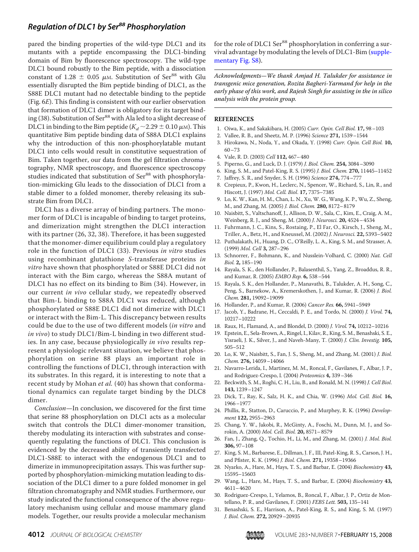pared the binding properties of the wild-type DLC1 and its mutants with a peptide encompassing the DLC1-binding domain of Bim by fluorescence spectroscopy. The wild-type DLC1 bound robustly to the Bim peptide, with a dissociation constant of 1.28  $\pm$  0.05  $\mu$ M. Substitution of Ser<sup>88</sup> with Glu essentially disrupted the Bim peptide binding of DLC1, as the S88E DLC1 mutant had no detectable binding to the peptide (Fig. 6E). This finding is consistent with our earlier observation that formation of DLC1 dimer is obligatory for its target binding (38). Substitution of Ser<sup>88</sup> with Ala led to a slight decrease of DLC1 in binding to the Bim peptide ( $K_d \sim 2.29 \pm 0.10 \,\mu$ M). This quantitative Bim peptide binding data of S88A DLC1 explains why the introduction of this non-phosphorylatable mutant DLC1 into cells would result in constitutive sequestration of Bim. Taken together, our data from the gel filtration chromatography, NMR spectroscopy, and fluorescence spectroscopy studies indicated that substitution of Ser<sup>88</sup> with phosphorylation-mimicking Glu leads to the dissociation of DLC1 from a stable dimer to a folded monomer, thereby releasing its substrate Bim from DLC1.

DLC1 has a diverse array of binding partners. The monomer form of DLC1 is incapable of binding to target proteins, and dimerization might strengthen the DLC1 interaction with its partner (26, 32, 38). Therefore, it has been suggested that the monomer-dimer equilibrium could play a regulatory role in the function of DLC1 (33). Previous in vitro studies using recombinant glutathione S-transferase proteins in vitro have shown that phosphorylated or S88E DLC1 did not interact with the Bim cargo, whereas the S88A mutant of DLC1 has no effect on its binding to Bim (34). However, in our current in vivo cellular study, we repeatedly observed that Bim-L binding to S88A DLC1 was reduced, although phosphorylated or S88E DLC1 did not dimerize with DLC1 or interact with the Bim-L. This discrepancy between results could be due to the use of two different models (in vitro and in vivo) to study DLC1/Bim-L binding in two different studies. In any case, because physiologically in vivo results represent a physiologic relevant situation, we believe that phosphorylation on serine 88 plays an important role in controlling the functions of DLC1, through interaction with its substrates. In this regard, it is interesting to note that a recent study by Mohan et al. (40) has shown that conformational dynamics can regulate target binding by the DLC8 dimer.

Conclusion—In conclusion, we discovered for the first time that serine 88 phosphorylation on DLC1 acts as a molecular switch that controls the DLC1 dimer-monomer transition, thereby modulating its interaction with substrates and consequently regulating the functions of DLC1. This conclusion is evidenced by the decreased ability of transiently transfected DLC1-S88E to interact with the endogenous DLC1 and to dimerize in immunoprecipitation assays. This was further supported by phosphorylation-mimicking mutation leading to dissociation of the DLC1 dimer to a pure folded monomer in gel filtration chromatography and NMR studies. Furthermore, our study indicated the functional consequence of the above regulatory mechanism using cellular and mouse mammary gland models. Together, our results provide a molecular mechanism

for the role of DLC1 Ser<sup>88</sup> phosphorylation in conferring a survival advantage by modulating the levels of DLC1-Bim (supplementary Fig. S8).

Acknowledgments—We thank Amjad H. Talukder for assistance in transgenic mice generation, Rozita Bagheri-Yarmand for help in the early phase of this work, and Rajesh Singh for assisting in the in silico analysis with the protein group.

### **REFERENCES**

- 1. Oiwa, K., and Sakakibara, H. (2005) Curr. Opin. Cell Biol. **17,** 98–103
- 2. Vallee, R. B., and Sheetz, M. P. (1996) Science **271,** 1539–1544
- 3. Hirokawa, N., Noda, Y., and Okada, Y. (1998) Curr. Opin. Cell Biol. **10,** 60–73
- 4. Vale, R. D. (2003) Cell **112,** 467–480
- 5. Piperno, G., and Luck, D. J. (1979) J. Biol. Chem. **254,** 3084–3090
- 6. King, S. M., and Patel-King, R. S. (1995) J. Biol. Chem. **270,** 11445–11452
- 7. Jaffrey, S. R., and Snyder, S. H. (1996) Science **274,** 774–777
- 8. Crepieux, P., Kwon, H., Leclerc, N., Spencer, W., Richard, S., Lin, R., and Hiscott, J. (1997) Mol. Cell. Biol. **17,** 7375–7385
- 9. Lo, K. W., Kan, H. M., Chan, L. N., Xu, W. G., Wang, K. P., Wu, Z., Sheng, M., and Zhang, M. (2005) J. Biol. Chem. **280,** 8172–8179
- 10. Naisbitt, S., Valtschanoff, J., Allison, D. W., Sala, C., Kim, E., Craig, A. M., Weinberg, R. J., and Sheng, M. (2000) J. Neurosci. **20,** 4524–4534
- 11. Fuhrmann, J. C., Kins, S., Rostaing, P., El Far, O., Kirsch, J., Sheng, M., Triller, A., Betz, H., and Kneussel, M. (2002) J. Neurosci. **22,** 5393–5402
- 12. Puthalakath, H., Huang, D. C., O'Reilly, L. A., King, S. M., and Strasser, A. (1999) Mol. Cell **3,** 287–296
- 13. Schnorrer, F., Bohmann, K., and Nusslein-Volhard, C. (2000) Nat. Cell Biol. **2,** 185–190
- 14. Rayala, S. K., den Hollander, P., Balasenthil, S., Yang, Z., Broaddus, R. R., and Kumar, R. (2005) EMBO Rep. **6,** 538–544
- 15. Rayala, S. K., den Hollander, P., Manavathi, B., Talukder, A. H., Song, C., Peng, S., Barnekow, A., Kremerskothen, J., and Kumar, R. (2006) J. Biol. Chem. **281,** 19092–19099
- 16. Hollander, P., and Kumar, R. (2006) Cancer Res. **66,** 5941–5949
- 17. Jacob, Y., Badrane, H., Ceccaldi, P. E., and Tordo, N. (2000) J. Virol. **74,** 10217–10222
- 18. Raux, H., Flamand, A., and Blondel, D. (2000) J. Virol. **74,** 10212–10216
- 19. Epstein, E., Sela-Brown, A., Ringel, I., Kilav, R., King, S. M., Benashski, S. E., Yisraeli, J. K., Silver, J., and Naveh-Many, T. (2000) J. Clin. Investig. **105,** 505–512
- 20. Lo, K. W., Naisbitt, S., Fan, J. S., Sheng, M., and Zhang, M. (2001) J. Biol. Chem. **276,** 14059–14066
- 21. Navarro-Lerida, I., Martinez, M. M., Roncal, F., Gavilanes, F., Albar, J. P., and Rodriguez-Crespo, I. (2004) Proteomics **4,** 339–346
- 22. Beckwith, S. M., Roghi, C. H., Liu, B., and Ronald, M. N. (1998) J. Cell Biol. **143,** 1239–1247
- 23. Dick, T., Ray, K., Salz, H. K., and Chia, W. (1996) Mol. Cell. Biol. **16,** 1966–1977
- 24. Phillis, R., Statton, D., Caruccio, P., and Murphey, R. K. (1996) Development **122,** 2955–2963
- 25. Chang, Y. W., Jakobi, R., McGinty, A., Foschi, M., Dunn, M. J., and Sorokin, A. (2000) Mol. Cell. Biol. **20,** 8571–8579
- 26. Fan, J., Zhang, Q., Tochio, H., Li, M., and Zhang, M. (2001) J. Mol. Biol. **306,** 97–108
- 27. King, S. M., Barbarese, E., Dillman, J. F., III, Patel-King, R. S., Carson, J. H., and Pfister, K. K. (1996) J. Biol. Chem. **271,** 19358–19366
- 28. Nyarko, A., Hare, M., Hays, T. S., and Barbar, E. (2004) Biochemistry **43,** 15595–15603
- 29. Wang, L., Hare, M., Hays, T. S., and Barbar, E. (2004) Biochemistry **43,** 4611–4620
- 30. Rodriguez-Crespo, I., Yelamos, B., Roncal, F., Albar, J. P., Ortiz de Montellano, P. R., and Gavilanes, F. (2001) FEBS Lett. **503,** 135–141
- 31. Benashski, S. E., Harrison, A., Patel-King, R. S., and King, S. M. (1997) J. Biol. Chem. **272,** 20929–20935